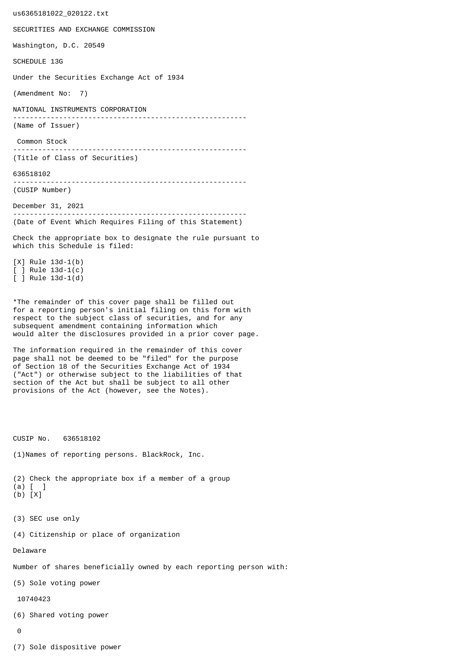us6365181022\_020122.txt SECURITIES AND EXCHANGE COMMISSION Washington, D.C. 20549 SCHEDULE 13G Under the Securities Exchange Act of 1934 (Amendment No: 7) NATIONAL INSTRUMENTS CORPORATION -------------------------------------------------------- (Name of Issuer) Common Stock -------------------------------------------------------- (Title of Class of Securities) 636518102 -------------------------------------------------------- (CUSIP Number) December 31, 2021 -------------------------------------------------------- (Date of Event Which Requires Filing of this Statement) Check the appropriate box to designate the rule pursuant to which this Schedule is filed: [X] Rule 13d-1(b) [ ] Rule 13d-1(c) [ ] Rule 13d-1(d) \*The remainder of this cover page shall be filled out for a reporting person's initial filing on this form with respect to the subject class of securities, and for any subsequent amendment containing information which would alter the disclosures provided in a prior cover page. The information required in the remainder of this cover page shall not be deemed to be "filed" for the purpose of Section 18 of the Securities Exchange Act of 1934 ("Act") or otherwise subject to the liabilities of that section of the Act but shall be subject to all other provisions of the Act (however, see the Notes). CUSIP No. 636518102 (1)Names of reporting persons. BlackRock, Inc. (2) Check the appropriate box if a member of a group (a) [ ] (b) [X] (3) SEC use only (4) Citizenship or place of organization Delaware Number of shares beneficially owned by each reporting person with: (5) Sole voting power 10740423 (6) Shared voting power  $\Omega$ 

(7) Sole dispositive power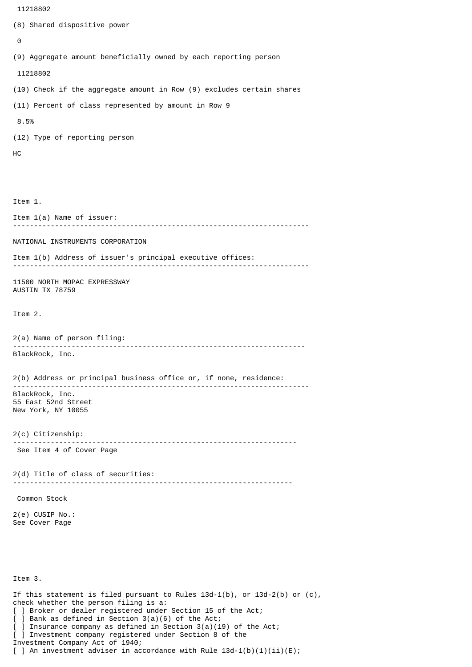```
 11218802
(8) Shared dispositive power
 \boldsymbol{\Theta}(9) Aggregate amount beneficially owned by each reporting person
  11218802
(10) Check if the aggregate amount in Row (9) excludes certain shares
(11) Percent of class represented by amount in Row 9
 8.5%
(12) Type of reporting person
HC
Item 1.
Item 1(a) Name of issuer:
            -----------------------------------------------------------------------
NATIONAL INSTRUMENTS CORPORATION
Item 1(b) Address of issuer's principal executive offices:
-----------------------------------------------------------------------
11500 NORTH MOPAC EXPRESSWAY
AUSTIN TX 78759
Item 2.
2(a) Name of person filing:
               ----------------------------------------------------------------------
BlackRock, Inc.
2(b) Address or principal business office or, if none, residence:
 -----------------------------------------------------------------------
BlackRock, Inc.
55 East 52nd Street
New York, NY 10055
2(c) Citizenship:
                            --------------------------------------------------------------------
 See Item 4 of Cover Page
2(d) Title of class of securities:
                                       -------------------------------------------------------------------
 Common Stock
2(e) CUSIP No.:
See Cover Page
Item 3.
If this statement is filed pursuant to Rules 13d-1(b), or 13d-2(b) or (c),
check whether the person filing is a:
[ ] Broker or dealer registered under Section 15 of the Act;
[ ] Bank as defined in Section 3(a)(6) of the Act;
```
] Insurance company as defined in Section  $3(a)(19)$  of the Act; [ ] Investment company registered under Section 8 of the

Investment Company Act of 1940;

[ ] An investment adviser in accordance with Rule  $13d-1(b)(1)(ii)(E)$ ;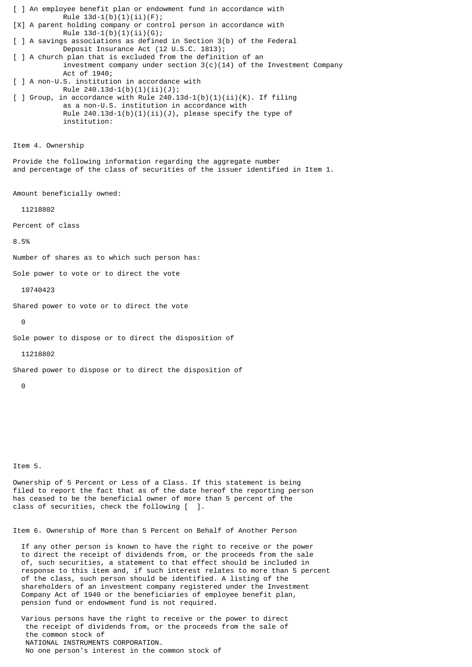[ ] An employee benefit plan or endowment fund in accordance with Rule  $13d-1(b)(1)(ii)(F);$ [X] A parent holding company or control person in accordance with Rule  $13d-1(b)(1)(ii)(G);$ [ ] A savings associations as defined in Section 3(b) of the Federal Deposit Insurance Act (12 U.S.C. 1813); [ ] A church plan that is excluded from the definition of an investment company under section  $3(c)(14)$  of the Investment Company Act of 1940; [ ] A non-U.S. institution in accordance with Rule 240.13d-1(b)(1)(ii)(J);  $\lceil$  ] Group, in accordance with Rule 240.13d-1(b)(1)(ii)(K). If filing as a non-U.S. institution in accordance with Rule  $240.13d-1(b)(1)(ii)(J)$ , please specify the type of institution: Item 4. Ownership Provide the following information regarding the aggregate number and percentage of the class of securities of the issuer identified in Item 1. Amount beneficially owned: 11218802 Percent of class 8.5% Number of shares as to which such person has: Sole power to vote or to direct the vote 10740423 Shared power to vote or to direct the vote  $\Theta$ Sole power to dispose or to direct the disposition of 11218802

Shared power to dispose or to direct the disposition of

 $\Omega$ 

Item 5.

Ownership of 5 Percent or Less of a Class. If this statement is being filed to report the fact that as of the date hereof the reporting person has ceased to be the beneficial owner of more than 5 percent of the class of securities, check the following [ ].

Item 6. Ownership of More than 5 Percent on Behalf of Another Person

 If any other person is known to have the right to receive or the power to direct the receipt of dividends from, or the proceeds from the sale of, such securities, a statement to that effect should be included in response to this item and, if such interest relates to more than 5 percent of the class, such person should be identified. A listing of the shareholders of an investment company registered under the Investment Company Act of 1940 or the beneficiaries of employee benefit plan, pension fund or endowment fund is not required.

 Various persons have the right to receive or the power to direct the receipt of dividends from, or the proceeds from the sale of the common stock of NATIONAL INSTRUMENTS CORPORATION. No one person's interest in the common stock of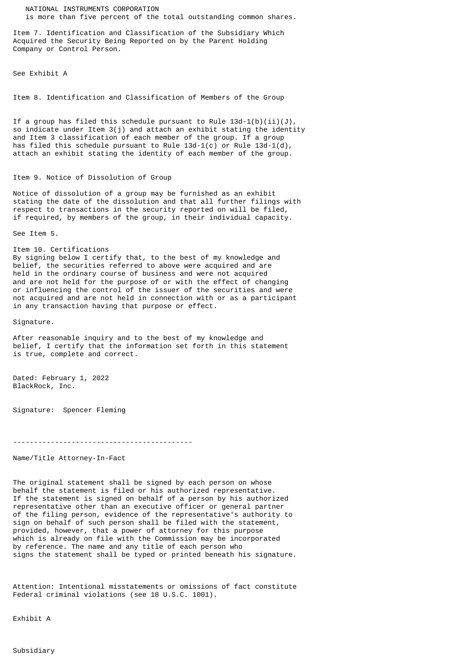NATIONAL INSTRUMENTS CORPORATION is more than five percent of the total outstanding common shares.

Item 7. Identification and Classification of the Subsidiary Which Acquired the Security Being Reported on by the Parent Holding Company or Control Person.

See Exhibit A

Item 8. Identification and Classification of Members of the Group

If a group has filed this schedule pursuant to Rule  $13d-1(b)(ii)(J)$ , so indicate under Item 3(j) and attach an exhibit stating the identity and Item 3 classification of each member of the group. If a group has filed this schedule pursuant to Rule  $13d-1(c)$  or Rule  $13d-1(d)$ , attach an exhibit stating the identity of each member of the group.

## Item 9. Notice of Dissolution of Group

Notice of dissolution of a group may be furnished as an exhibit stating the date of the dissolution and that all further filings with respect to transactions in the security reported on will be filed, if required, by members of the group, in their individual capacity.

See Item 5.

Item 10. Certifications By signing below I certify that, to the best of my knowledge and belief, the securities referred to above were acquired and are held in the ordinary course of business and were not acquired and are not held for the purpose of or with the effect of changing or influencing the control of the issuer of the securities and were not acquired and are not held in connection with or as a participant

in any transaction having that purpose or effect.

Signature.

After reasonable inquiry and to the best of my knowledge and belief, I certify that the information set forth in this statement is true, complete and correct.

Dated: February 1, 2022 BlackRock, Inc.

Signature: Spencer Fleming

-------------------------------------------

Name/Title Attorney-In-Fact

The original statement shall be signed by each person on whose behalf the statement is filed or his authorized representative. If the statement is signed on behalf of a person by his authorized representative other than an executive officer or general partner of the filing person, evidence of the representative's authority to sign on behalf of such person shall be filed with the statement, provided, however, that a power of attorney for this purpose which is already on file with the Commission may be incorporated by reference. The name and any title of each person who signs the statement shall be typed or printed beneath his signature.

Attention: Intentional misstatements or omissions of fact constitute Federal criminal violations (see 18 U.S.C. 1001).

Exhibit A